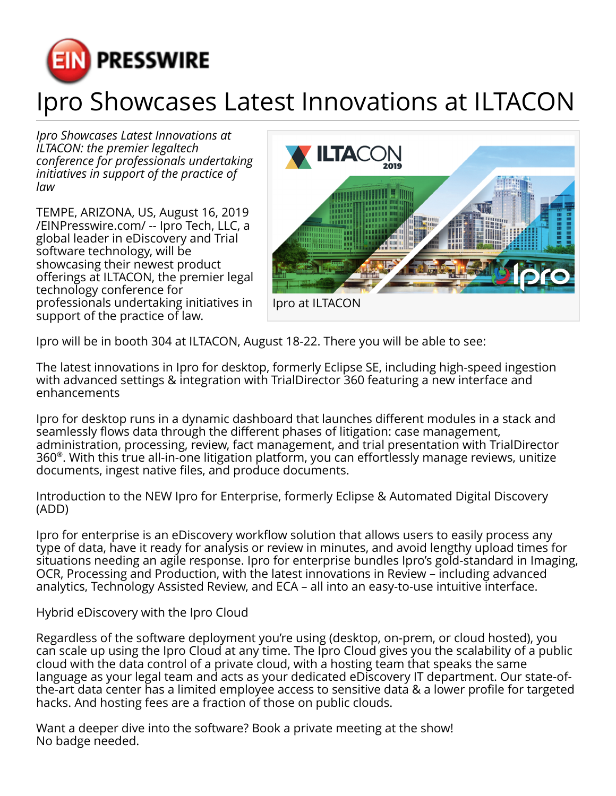

## Ipro Showcases Latest Innovations at ILTACON

*Ipro Showcases Latest Innovations at ILTACON: the premier legaltech conference for professionals undertaking initiatives in support of the practice of law*

TEMPE, ARIZONA, US, August 16, 2019 [/EINPresswire.com/](http://www.einpresswire.com) -- Ipro Tech, LLC, a global leader in eDiscovery and Trial software technology, will be showcasing their newest product offerings at ILTACON, the premier legal technology conference for professionals undertaking initiatives in support of the practice of law.



Ipro will be in booth 304 at ILTACON, August 18-22. There you will be able to see:

The latest innovations in Ipro for desktop, formerly Eclipse SE, including high-speed ingestion with advanced settings & integration with TrialDirector 360 featuring a new interface and enhancements

Ipro for desktop runs in a dynamic dashboard that launches different modules in a stack and seamlessly flows data through the different phases of litigation: case management, administration, processing, review, fact management, and trial presentation with TrialDirector 360® . With this true all-in-one litigation platform, you can effortlessly manage reviews, unitize documents, ingest native files, and produce documents.

Introduction to the NEW Ipro for Enterprise, formerly Eclipse & Automated Digital Discovery (ADD)

Ipro for enterprise is an eDiscovery workflow solution that allows users to easily process any type of data, have it ready for analysis or review in minutes, and avoid lengthy upload times for situations needing an agile response. Ipro for enterprise bundles Ipro's gold-standard in Imaging, OCR, Processing and Production, with the latest innovations in Review – including advanced analytics, Technology Assisted Review, and ECA – all into an easy-to-use intuitive interface.

Hybrid eDiscovery with the Ipro Cloud

Regardless of the software deployment you're using (desktop, on-prem, or cloud hosted), you can scale up using the Ipro Cloud at any time. The Ipro Cloud gives you the scalability of a public cloud with the data control of a private cloud, with a hosting team that speaks the same language as your legal team and acts as your dedicated eDiscovery IT department. Our state-ofthe-art data center has a limited employee access to sensitive data & a lower profile for targeted hacks. And hosting fees are a fraction of those on public clouds.

Want a deeper dive into the software? Book a private meeting at the show! No badge needed.